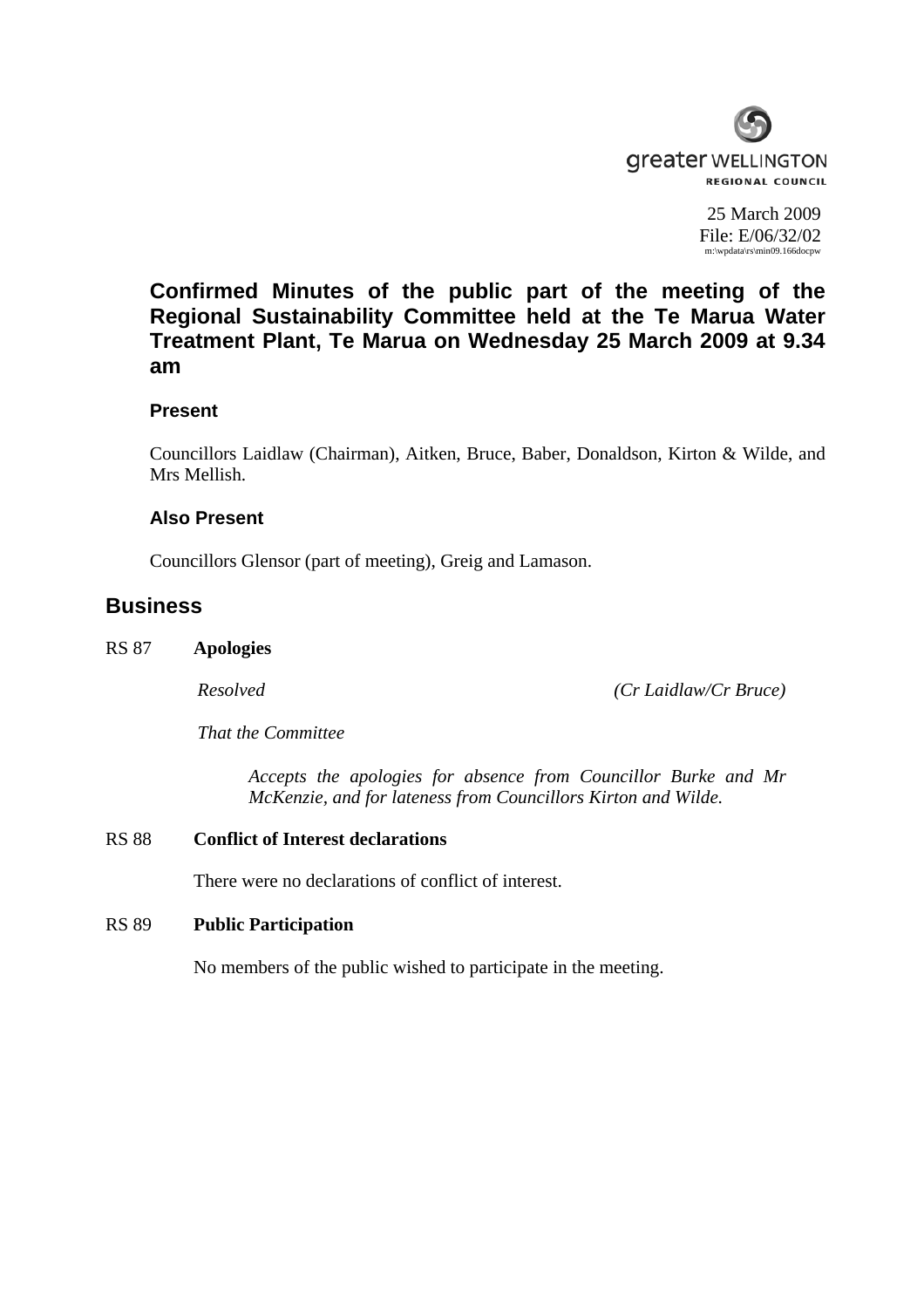

25 March 2009 File: E/06/32/02 m:\wpdata\rs\min09.166docpw

**Confirmed Minutes of the public part of the meeting of the Regional Sustainability Committee held at the Te Marua Water Treatment Plant, Te Marua on Wednesday 25 March 2009 at 9.34 am** 

## **Present**

Councillors Laidlaw (Chairman), Aitken, Bruce, Baber, Donaldson, Kirton & Wilde, and Mrs Mellish.

# **Also Present**

Councillors Glensor (part of meeting), Greig and Lamason.

# **Business**

#### RS 87 **Apologies**

*Resolved (Cr Laidlaw/Cr Bruce)*

*That the Committee* 

*Accepts the apologies for absence from Councillor Burke and Mr McKenzie, and for lateness from Councillors Kirton and Wilde.* 

## RS 88 **Conflict of Interest declarations**

There were no declarations of conflict of interest.

#### RS 89 **Public Participation**

No members of the public wished to participate in the meeting.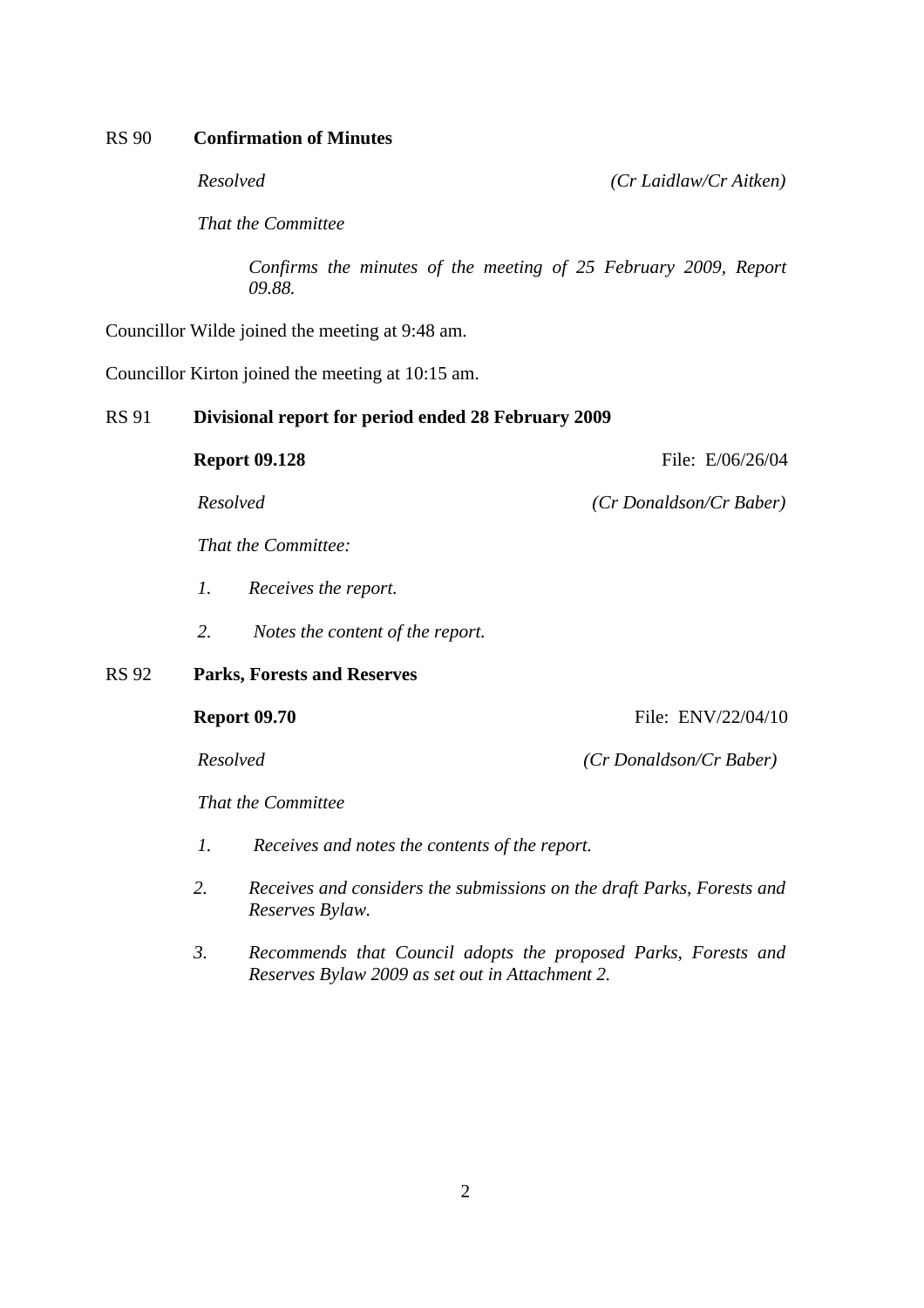### RS 90 **Confirmation of Minutes**

RS 92 **Parks, Forests and Reserves** 

*Resolved (Cr Laidlaw/Cr Aitken)*

*That the Committee* 

*Confirms the minutes of the meeting of 25 February 2009, Report 09.88.* 

Councillor Wilde joined the meeting at 9:48 am.

Councillor Kirton joined the meeting at 10:15 am.

#### RS 91 **Divisional report for period ended 28 February 2009**

|       | <b>Report 09.128</b>                   | File: E/06/26/04        |
|-------|----------------------------------------|-------------------------|
|       | Resolved                               | (Cr Donaldson/Cr Baber) |
|       | <i>That the Committee:</i>             |                         |
|       | 1.<br>Receives the report.             |                         |
|       | 2.<br>Notes the content of the report. |                         |
| RS 92 | <b>Parks, Forests and Reserves</b>     |                         |
|       | <b>Report 09.70</b>                    | File: ENV/22/04/10      |
|       | Resolved                               | (Cr Donaldson/Cr Baber) |
|       | That the Committee                     |                         |

- *1. Receives and notes the contents of the report.*
- *2. Receives and considers the submissions on the draft Parks, Forests and Reserves Bylaw.*
- *3. Recommends that Council adopts the proposed Parks, Forests and Reserves Bylaw 2009 as set out in Attachment 2.*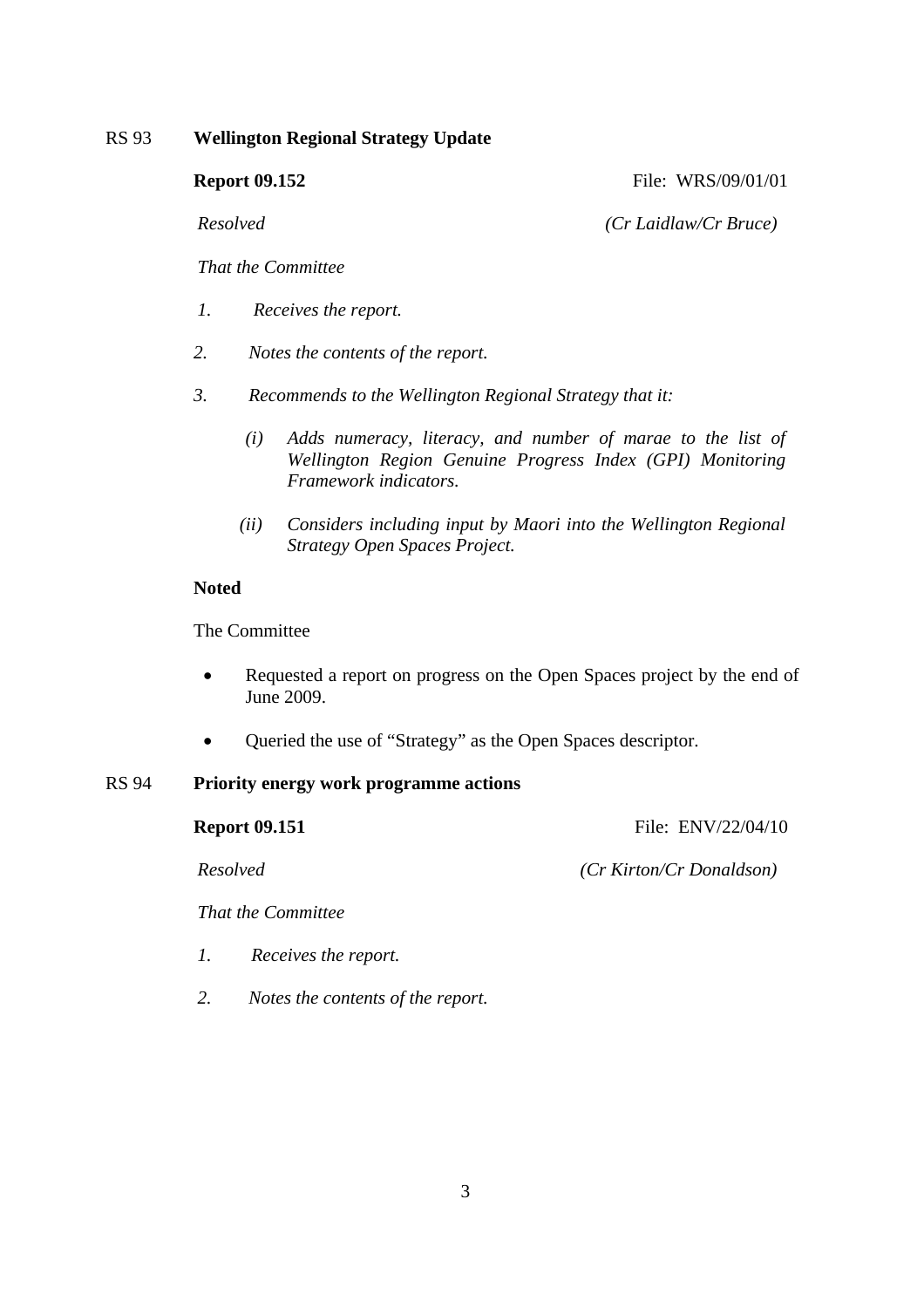## RS 93 **Wellington Regional Strategy Update**

**Report 09.152 File: WRS/09/01/01** 

*Resolved (Cr Laidlaw/Cr Bruce)* 

*That the Committee* 

- *1. Receives the report.*
- *2. Notes the contents of the report.*
- *3. Recommends to the Wellington Regional Strategy that it:* 
	- *(i) Adds numeracy, literacy, and number of marae to the list of Wellington Region Genuine Progress Index (GPI) Monitoring Framework indicators.*
	- *(ii) Considers including input by Maori into the Wellington Regional Strategy Open Spaces Project.*

### **Noted**

The Committee

- Requested a report on progress on the Open Spaces project by the end of June 2009.
- Queried the use of "Strategy" as the Open Spaces descriptor.

# RS 94 **Priority energy work programme actions**

**Report 09.151 File: ENV/22/04/10** 

*Resolved (Cr Kirton/Cr Donaldson)* 

*That the Committee* 

- *1. Receives the report.*
- *2. Notes the contents of the report.*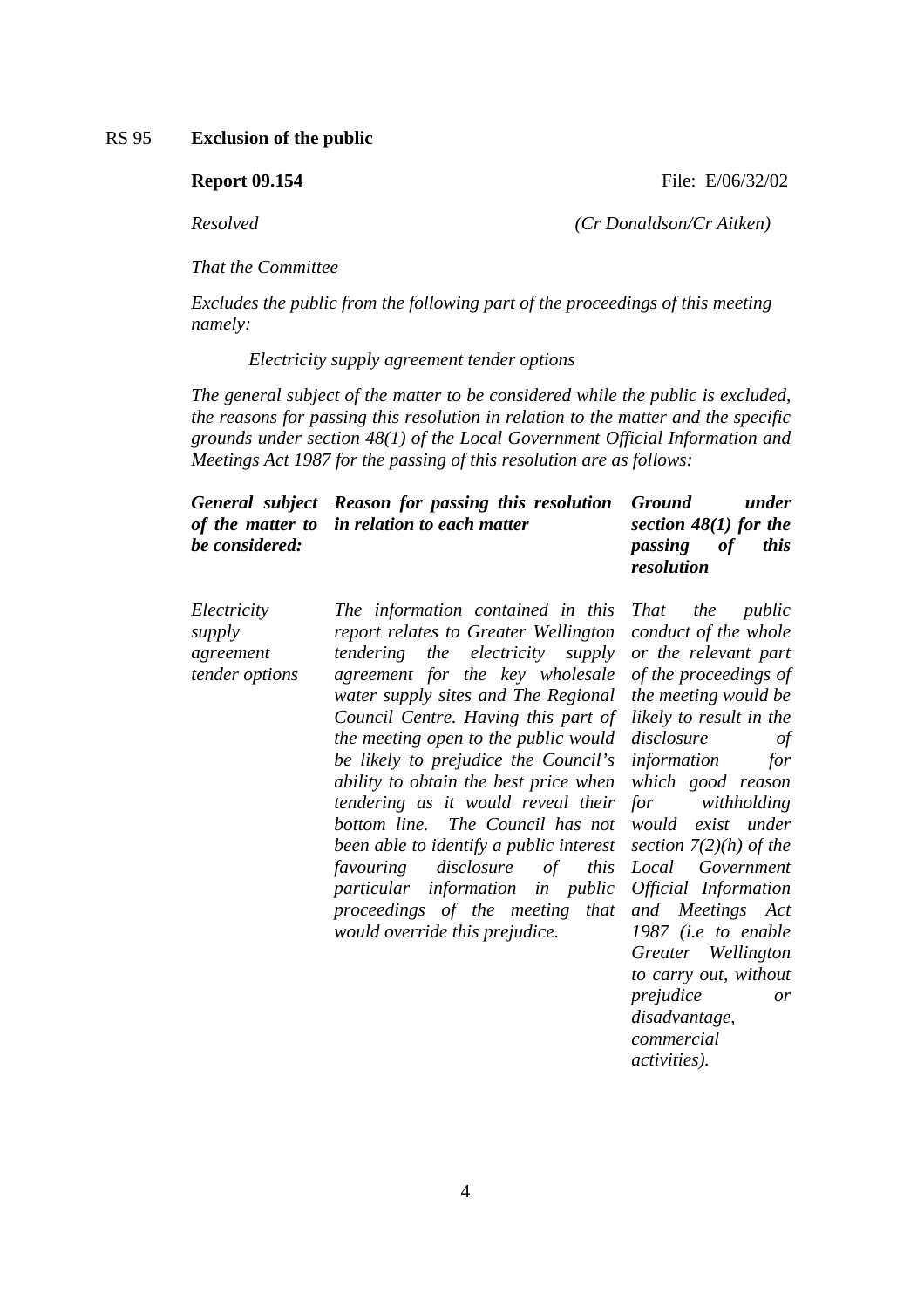RS 95 **Exclusion of the public**

**Report 09.154 File: E/06/32/02** 

*Resolved (Cr Donaldson/Cr Aitken)* 

*That the Committee* 

*Excludes the public from the following part of the proceedings of this meeting namely:* 

 *Electricity supply agreement tender options* 

*The general subject of the matter to be considered while the public is excluded, the reasons for passing this resolution in relation to the matter and the specific grounds under section 48(1) of the Local Government Official Information and Meetings Act 1987 for the passing of this resolution are as follows:* 

|                | General subject Reason for passing this resolution Ground |                         | under       |
|----------------|-----------------------------------------------------------|-------------------------|-------------|
|                | of the matter to in relation to each matter               | section $48(1)$ for the |             |
| be considered: |                                                           | <i>passing of</i>       | <i>this</i> |
|                |                                                           | resolution              |             |

*Electricity supply agreement tender options The information contained in this report relates to Greater Wellington tendering the electricity supply agreement for the key wholesale water supply sites and The Regional Council Centre. Having this part of the meeting open to the public would be likely to prejudice the Council's ability to obtain the best price when tendering as it would reveal their bottom line. The Council has not been able to identify a public interest favouring disclosure of this particular information in public proceedings of the meeting that and Meetings Act would override this prejudice.* 

*That the public conduct of the whole or the relevant part of the proceedings of the meeting would be likely to result in the disclosure of information for which good reason for withholding would exist under section 7(2)(h) of the Local Government Official Information 1987 (i.e to enable Greater Wellington to carry out, without prejudice or disadvantage, commercial activities).*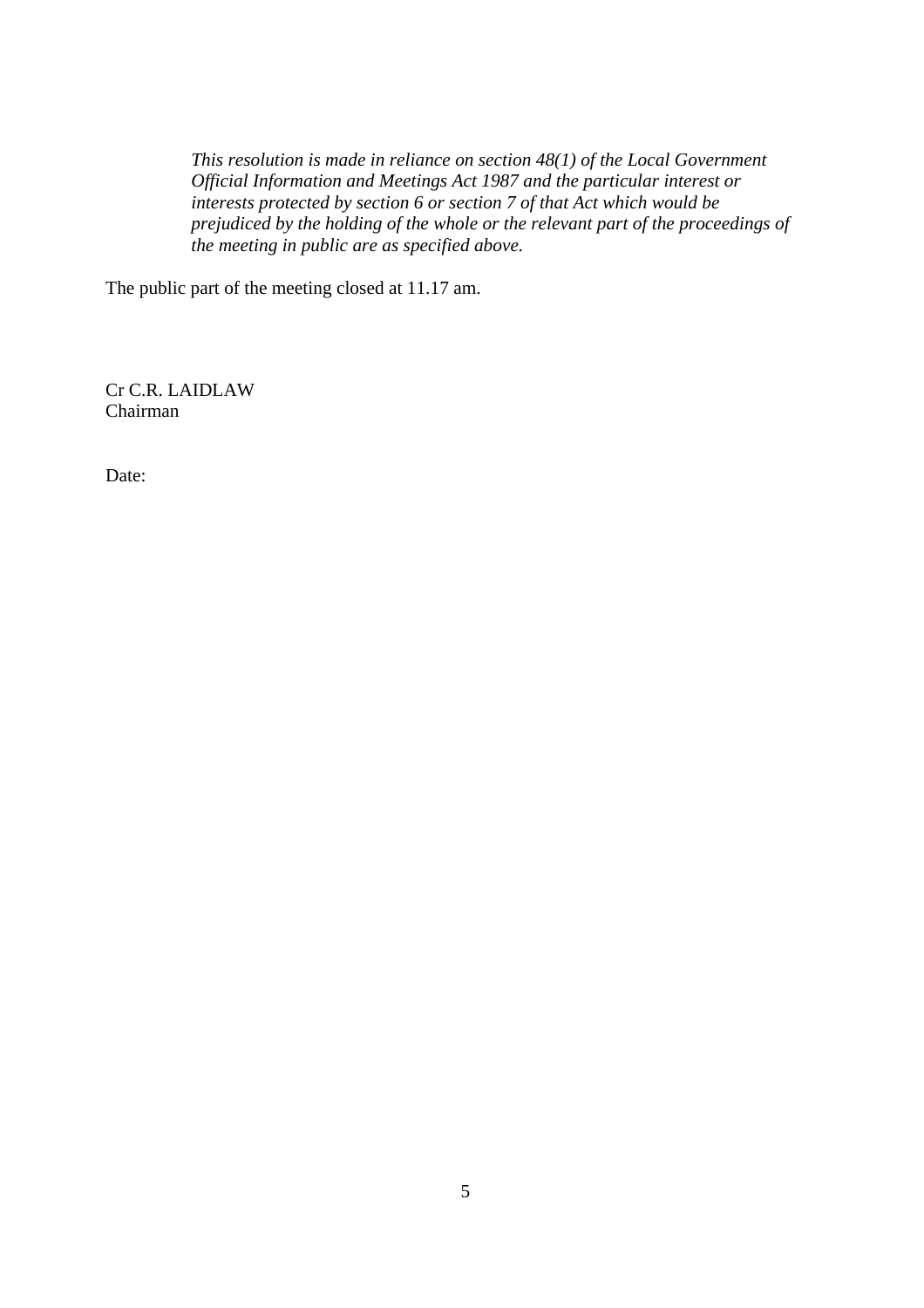*This resolution is made in reliance on section 48(1) of the Local Government Official Information and Meetings Act 1987 and the particular interest or interests protected by section 6 or section 7 of that Act which would be prejudiced by the holding of the whole or the relevant part of the proceedings of the meeting in public are as specified above.* 

The public part of the meeting closed at 11.17 am.

Cr C.R. LAIDLAW Chairman

Date: